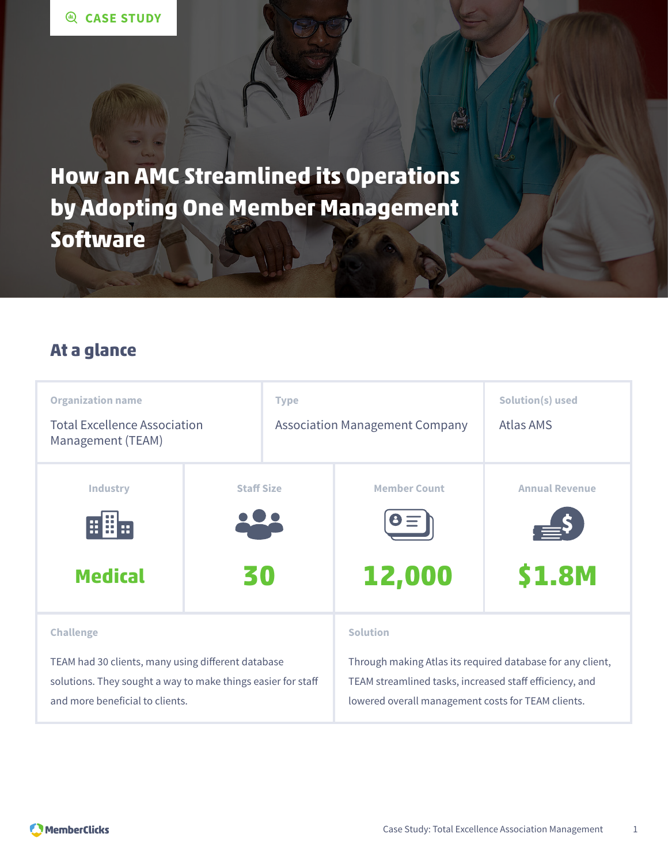**How an AMC Streamlined its Operations by Adopting One Member Management Software**

### **At a glance**

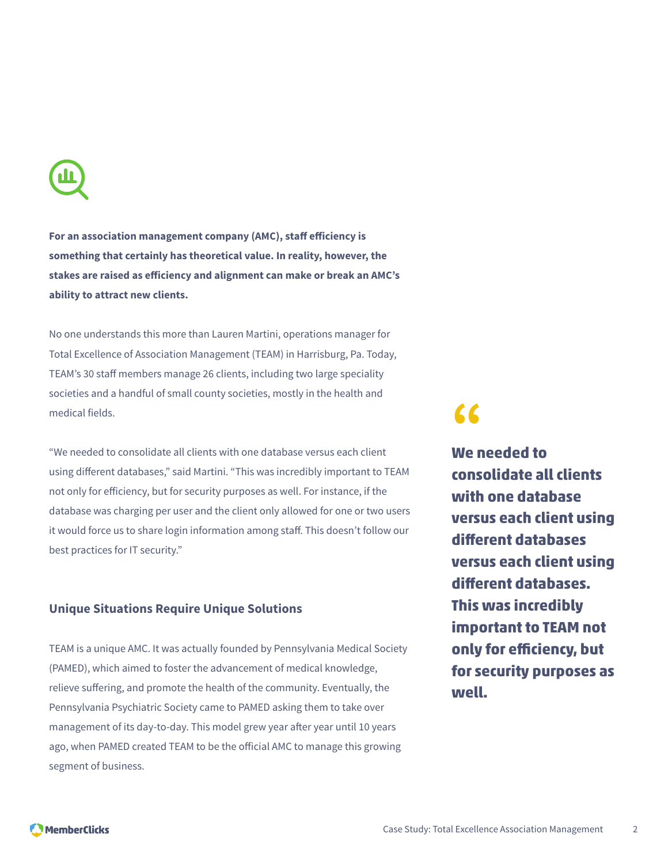**For an association management company (AMC), staff efficiency is something that certainly has theoretical value. In reality, however, the stakes are raised as efficiency and alignment can make or break an AMC's ability to attract new clients.**

No one understands this more than Lauren Martini, operations manager for Total Excellence of Association Management (TEAM) in Harrisburg, Pa. Today, TEAM's 30 staff members manage 26 clients, including two large speciality societies and a handful of small county societies, mostly in the health and medical fields.

"We needed to consolidate all clients with one database versus each client using different databases," said Martini. "This was incredibly important to TEAM not only for efficiency, but for security purposes as well. For instance, if the database was charging per user and the client only allowed for one or two users it would force us to share login information among staff. This doesn't follow our best practices for IT security."

#### **Unique Situations Require Unique Solutions**

TEAM is a unique AMC. It was actually founded by Pennsylvania Medical Society (PAMED), which aimed to foster the advancement of medical knowledge, relieve suffering, and promote the health of the community. Eventually, the Pennsylvania Psychiatric Society came to PAMED asking them to take over management of its day-to-day. This model grew year after year until 10 years ago, when PAMED created TEAM to be the official AMC to manage this growing segment of business.

# **"**

**We needed to consolidate all clients with one database versus each client using different databases versus each client using different databases. This was incredibly important to TEAM not only for efficiency, but for security purposes as well.**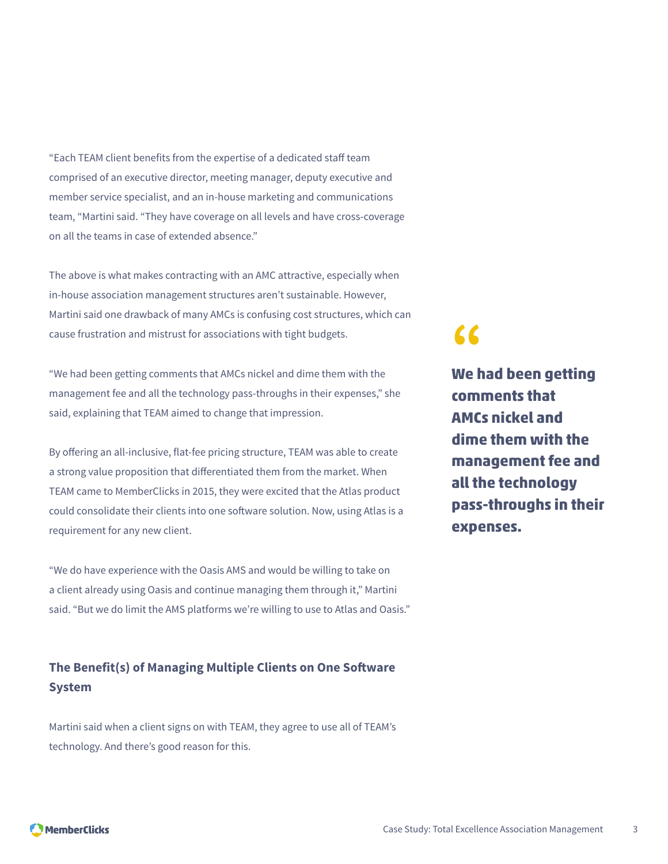"Each TEAM client benefits from the expertise of a dedicated staff team comprised of an executive director, meeting manager, deputy executive and member service specialist, and an in-house marketing and communications team, "Martini said. "They have coverage on all levels and have cross-coverage on all the teams in case of extended absence."

The above is what makes contracting with an AMC attractive, especially when in-house association management structures aren't sustainable. However, Martini said one drawback of many AMCs is confusing cost structures, which can cause frustration and mistrust for associations with tight budgets.

"We had been getting comments that AMCs nickel and dime them with the management fee and all the technology pass-throughs in their expenses," she said, explaining that TEAM aimed to change that impression.

By offering an all-inclusive, flat-fee pricing structure, TEAM was able to create a strong value proposition that differentiated them from the market. When TEAM came to MemberClicks in 2015, they were excited that the Atlas product could consolidate their clients into one software solution. Now, using Atlas is a requirement for any new client.

"We do have experience with the Oasis AMS and would be willing to take on a client already using Oasis and continue managing them through it," Martini said. "But we do limit the AMS platforms we're willing to use to Atlas and Oasis."

#### **The Benefit(s) of Managing Multiple Clients on One Software System**

Martini said when a client signs on with TEAM, they agree to use all of TEAM's technology. And there's good reason for this.

### **"**

**We had been getting comments that AMCs nickel and dime them with the management fee and all the technology pass-throughs in their expenses.**

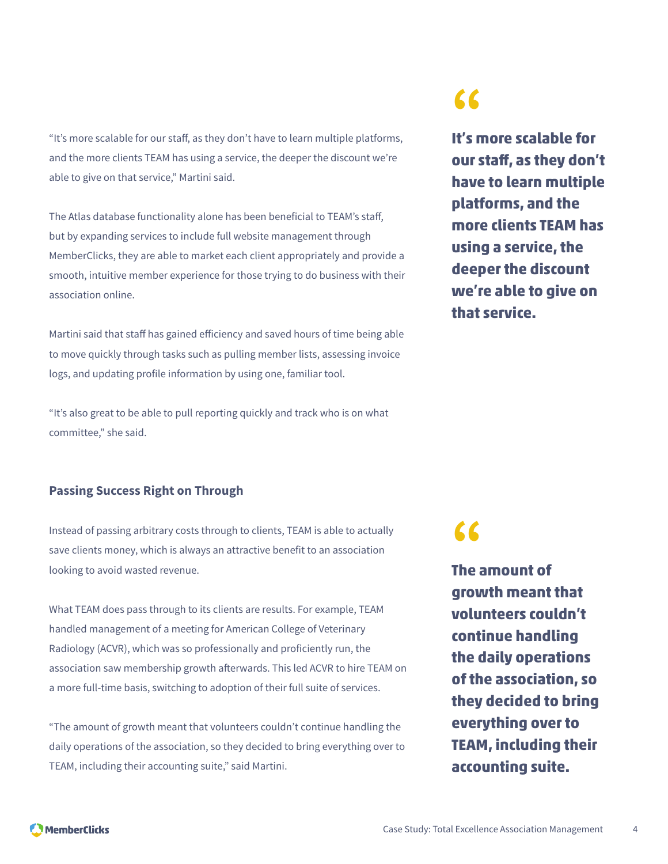"It's more scalable for our staff, as they don't have to learn multiple platforms, and the more clients TEAM has using a service, the deeper the discount we're able to give on that service," Martini said.

The Atlas database functionality alone has been beneficial to TEAM's staff, but by expanding services to include full website management through MemberClicks, they are able to market each client appropriately and provide a smooth, intuitive member experience for those trying to do business with their association online.

Martini said that staff has gained efficiency and saved hours of time being able to move quickly through tasks such as pulling member lists, assessing invoice logs, and updating profile information by using one, familiar tool.

"It's also great to be able to pull reporting quickly and track who is on what committee," she said.

#### **Passing Success Right on Through**

Instead of passing arbitrary costs through to clients, TEAM is able to actually save clients money, which is always an attractive benefit to an association looking to avoid wasted revenue.

What TEAM does pass through to its clients are results. For example, TEAM handled management of a meeting for American College of Veterinary Radiology (ACVR), which was so professionally and proficiently run, the association saw membership growth afterwards. This led ACVR to hire TEAM on a more full-time basis, switching to adoption of their full suite of services.

"The amount of growth meant that volunteers couldn't continue handling the daily operations of the association, so they decided to bring everything over to TEAM, including their accounting suite," said Martini.

### **"**

**It's more scalable for our staff, as they don't have to learn multiple platforms, and the more clients TEAM has using a service, the deeper the discount we're able to give on that service.**

# **"**

**The amount of growth meant that volunteers couldn't continue handling the daily operations of the association, so they decided to bring everything over to TEAM, including their accounting suite.**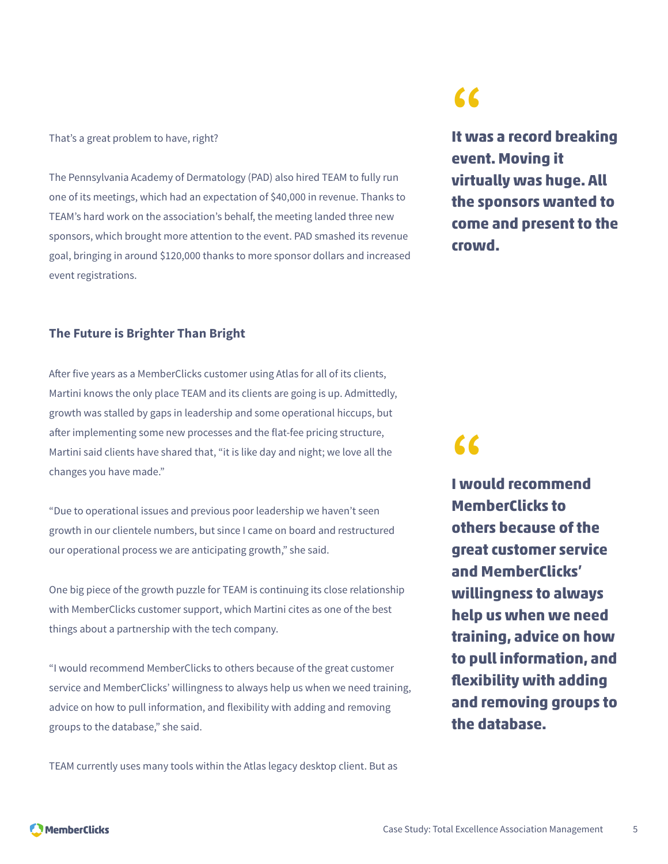#### That's a great problem to have, right?

The Pennsylvania Academy of Dermatology (PAD) also hired TEAM to fully run one of its meetings, which had an expectation of \$40,000 in revenue. Thanks to TEAM's hard work on the association's behalf, the meeting landed three new sponsors, which brought more attention to the event. PAD smashed its revenue goal, bringing in around \$120,000 thanks to more sponsor dollars and increased event registrations.

#### **The Future is Brighter Than Bright**

After five years as a MemberClicks customer using Atlas for all of its clients, Martini knows the only place TEAM and its clients are going is up. Admittedly, growth was stalled by gaps in leadership and some operational hiccups, but after implementing some new processes and the flat-fee pricing structure, Martini said clients have shared that, "it is like day and night; we love all the changes you have made."

"Due to operational issues and previous poor leadership we haven't seen growth in our clientele numbers, but since I came on board and restructured our operational process we are anticipating growth," she said.

One big piece of the growth puzzle for TEAM is continuing its close relationship with MemberClicks customer support, which Martini cites as one of the best things about a partnership with the tech company.

"I would recommend MemberClicks to others because of the great customer service and MemberClicks' willingness to always help us when we need training, advice on how to pull information, and flexibility with adding and removing groups to the database," she said.

TEAM currently uses many tools within the Atlas legacy desktop client. But as

### **"**

**It was a record breaking event. Moving it virtually was huge. All the sponsors wanted to come and present to the crowd.**

## **"**

**I would recommend MemberClicks to others because of the great customer service and MemberClicks' willingness to always help us when we need training, advice on how to pull information, and flexibility with adding and removing groups to the database.**